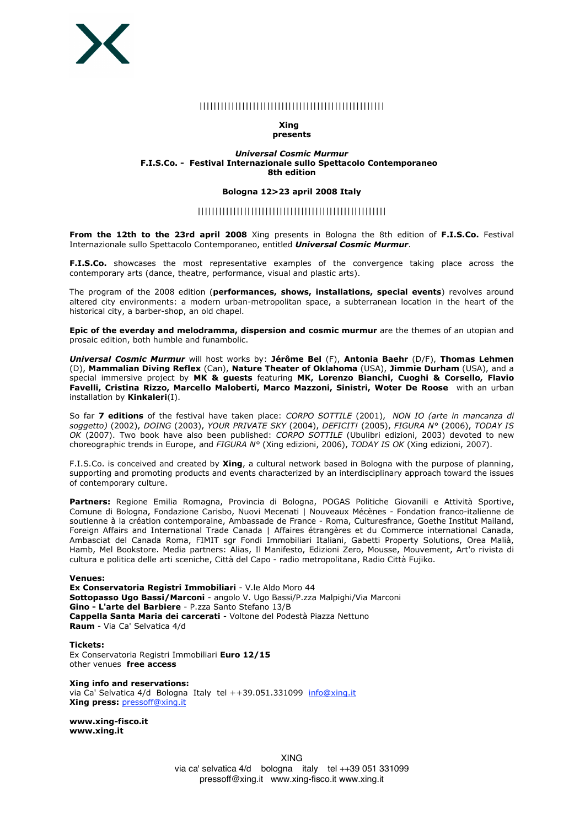

## ||||||||||||||||||||||||||||||||||||||||||||||||||||

#### **Xing presents**

### *Universal Cosmic Murmur* **F.I.S.Co. - Festival Internazionale sullo Spettacolo Contemporaneo 8th edition**

#### **Bologna 12>23 april 2008 Italy**

## |||||||||||||||||||||||||||||||||||||||||||||||||||||

**From the 12th to the 23rd april 2008** Xing presents in Bologna the 8th edition of **F.I.S.Co.** Festival Internazionale sullo Spettacolo Contemporaneo, entitled *Universal Cosmic Murmur*.

**F.I.S.Co.** showcases the most representative examples of the convergence taking place across the contemporary arts (dance, theatre, performance, visual and plastic arts).

The program of the 2008 edition (**performances, shows, installations, special events**) revolves around altered city environments: a modern urban-metropolitan space, a subterranean location in the heart of the historical city, a barber-shop, an old chapel.

**Epic of the everday and melodramma, dispersion and cosmic murmur** are the themes of an utopian and prosaic edition, both humble and funambolic.

*Universal Cosmic Murmur* will host works by: **Jérôme Bel** (F), **Antonia Baehr** (D/F), **Thomas Lehmen** (D), **Mammalian Diving Reflex** (Can), **Nature Theater of Oklahoma** (USA), **Jimmie Durham** (USA), and a special immersive project by **MK & guests** featuring **MK, Lorenzo Bianchi, Cuoghi & Corsello, Flavio Favelli, Cristina Rizzo, Marcello Maloberti, Marco Mazzoni, Sinistri, Woter De Roose** with an urban installation by **Kinkaleri**(I).

So far **7 editions** of the festival have taken place: *CORPO SOTTILE* (2001), *NON IO (arte in mancanza di soggetto)* (2002), *DOING* (2003), *YOUR PRIVATE SKY* (2004), *DEFICIT!* (2005), *FIGURA N°* (2006), *TODAY IS OK* (2007). Two book have also been published: *CORPO SOTTILE* (Ubulibri edizioni, 2003) devoted to new choreographic trends in Europe, and *FIGURA N°* (Xing edizioni, 2006), *TODAY IS OK* (Xing edizioni, 2007).

F.I.S.Co. is conceived and created by **Xing**, a cultural network based in Bologna with the purpose of planning, supporting and promoting products and events characterized by an interdisciplinary approach toward the issues of contemporary culture.

**Partners:** Regione Emilia Romagna, Provincia di Bologna, POGAS Politiche Giovanili e Attività Sportive, Comune di Bologna, Fondazione Carisbo, Nuovi Mecenati | Nouveaux Mécènes - Fondation franco-italienne de soutienne à la création contemporaine, Ambassade de France - Roma, Culturesfrance, Goethe Institut Mailand, Foreign Affairs and International Trade Canada | Affaires étrangères et du Commerce international Canada, Ambasciat del Canada Roma, FIMIT sgr Fondi Immobiliari Italiani, Gabetti Property Solutions, Orea Malià, Hamb, Mel Bookstore. Media partners: Alias, Il Manifesto, Edizioni Zero, Mousse, Mouvement, Art'o rivista di cultura e politica delle arti sceniche, Città del Capo - radio metropolitana, Radio Città Fujiko.

#### **Venues:**

**Ex Conservatoria Registri Immobiliari** - V.le Aldo Moro 44 **Sottopasso Ugo Bassi/Marconi** - angolo V. Ugo Bassi/P.zza Malpighi/Via Marconi **Gino - L'arte del Barbiere** - P.zza Santo Stefano 13/B **Cappella Santa Maria dei carcerati** - Voltone del Podestà Piazza Nettuno **Raum** - Via Ca' Selvatica 4/d

**Tickets:** Ex Conservatoria Registri Immobiliari **Euro 12/15** other venues **free access**

**Xing info and reservations:** via Ca' Selvatica 4/d Bologna Italy tel ++39.051.331099 info@xing.it **Xing press:** pressoff@xing.it

**www.xing-fisco.it www.xing.it**

> XING via ca' selvatica 4/d bologna italy tel ++39 051 331099 pressoff@xing.it www.xing-fisco.it www.xing.it